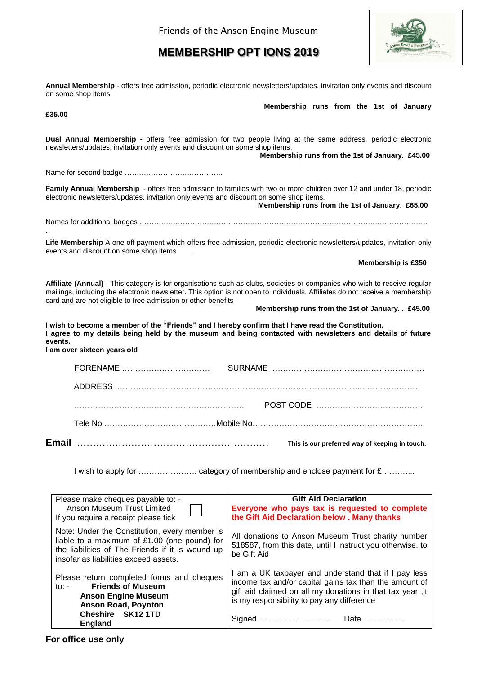# **MEMBERSHIP OPT IONS 2019**



**Annual Membership** - offers free admission, periodic electronic newsletters/updates, invitation only events and discount on some shop items  **Membership runs from the 1st of January £35.00**

**Dual Annual Membership** - offers free admission for two people living at the same address, periodic electronic newsletters/updates, invitation only events and discount on some shop items.  **Membership runs from the 1st of January**. **£45.00** Name for second badge …………………………………..

**Family Annual Membership** - offers free admission to families with two or more children over 12 and under 18, periodic electronic newsletters/updates, invitation only events and discount on some shop items.  **Membership runs from the 1st of January**. **£65.00**

Names for additional badges …………………………………………………………………………………………………………

**Life Membership** A one off payment which offers free admission, periodic electronic newsletters/updates, invitation only events and discount on some shop items .

 **Membership is £350**

**Affiliate (Annual)** - This category is for organisations such as clubs, societies or companies who wish to receive regular mailings, including the electronic newsletter. This option is not open to individuals. Affiliates do not receive a membership card and are not eligible to free admission or other benefits

 **Membership runs from the 1st of January**. . **£45.00**

**I wish to become a member of the "Friends" and I hereby confirm that I have read the Constitution, I agree to my details being held by the museum and being contacted with newsletters and details of future events. I am over sixteen years old**

| Email |          | This is our preferred way of keeping in touch. |
|-------|----------|------------------------------------------------|
|       |          |                                                |
|       |          |                                                |
|       |          |                                                |
|       | FORENAME |                                                |

I wish to apply for …………………. category of membership and enclose payment for £ ………...

| Please make cheques payable to: -<br>Anson Museum Trust Limited<br>If you require a receipt please tick                                                                                    | <b>Gift Aid Declaration</b><br>Everyone who pays tax is requested to complete<br>the Gift Aid Declaration below . Many thanks                                                                                                                |  |  |
|--------------------------------------------------------------------------------------------------------------------------------------------------------------------------------------------|----------------------------------------------------------------------------------------------------------------------------------------------------------------------------------------------------------------------------------------------|--|--|
| Note: Under the Constitution, every member is<br>liable to a maximum of £1.00 (one pound) for<br>the liabilities of The Friends if it is wound up<br>insofar as liabilities exceed assets. | All donations to Anson Museum Trust charity number<br>518587, from this date, until I instruct you otherwise, to<br>be Gift Aid                                                                                                              |  |  |
| Please return completed forms and cheques<br><b>Friends of Museum</b><br>to: $-$<br><b>Anson Engine Museum</b><br><b>Anson Road, Poynton</b><br>Cheshire SK12 1TD<br><b>England</b>        | I am a UK taxpayer and understand that if I pay less<br>income tax and/or capital gains tax than the amount of<br>gift aid claimed on all my donations in that tax year , it<br>is my responsibility to pay any difference<br>Signed<br>Date |  |  |

.